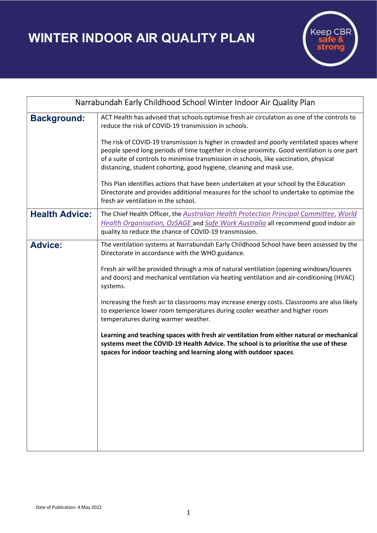WINTER INDOOR AIR QUALITY PLAN



| Narrabundah Early Childhood School Winter Indoor Air Quality Plan |                                                                                                                                                                                                                                                                                                                                                                                                                                                                                                                                                                                                                                                                                                                                                                                                                                    |
|-------------------------------------------------------------------|------------------------------------------------------------------------------------------------------------------------------------------------------------------------------------------------------------------------------------------------------------------------------------------------------------------------------------------------------------------------------------------------------------------------------------------------------------------------------------------------------------------------------------------------------------------------------------------------------------------------------------------------------------------------------------------------------------------------------------------------------------------------------------------------------------------------------------|
| <b>Background:</b>                                                | ACT Health has advised that schools optimise fresh air circulation as one of the controls to<br>reduce the risk of COVID-19 transmission in schools.<br>The risk of COVID-19 transmission is higher in crowded and poorly ventilated spaces where<br>people spend long periods of time together in close proximity. Good ventilation is one part<br>of a suite of controls to minimise transmission in schools, like vaccination, physical<br>distancing, student cohorting, good hygiene, cleaning and mask use.<br>This Plan identifies actions that have been undertaken at your school by the Education<br>Directorate and provides additional measures for the school to undertake to optimise the<br>fresh air ventilation in the school.                                                                                    |
| <b>Health Advice:</b>                                             | The Chief Health Officer, the Australian Health Protection Principal Committee, World<br>Health Organisation, OzSAGE and Safe Work Australia all recommend good indoor air<br>quality to reduce the chance of COVID-19 transmission.                                                                                                                                                                                                                                                                                                                                                                                                                                                                                                                                                                                               |
| <b>Advice:</b>                                                    | The ventilation systems at Narrabundah Early Childhood School have been assessed by the<br>Directorate in accordance with the WHO guidance.<br>Fresh air will be provided through a mix of natural ventilation (opening windows/louvres<br>and doors) and mechanical ventilation via heating ventilation and air-conditioning (HVAC)<br>systems.<br>Increasing the fresh air to classrooms may increase energy costs. Classrooms are also likely<br>to experience lower room temperatures during cooler weather and higher room<br>temperatures during warmer weather.<br>Learning and teaching spaces with fresh air ventilation from either natural or mechanical<br>systems meet the COVID-19 Health Advice. The school is to prioritise the use of these<br>spaces for indoor teaching and learning along with outdoor spaces. |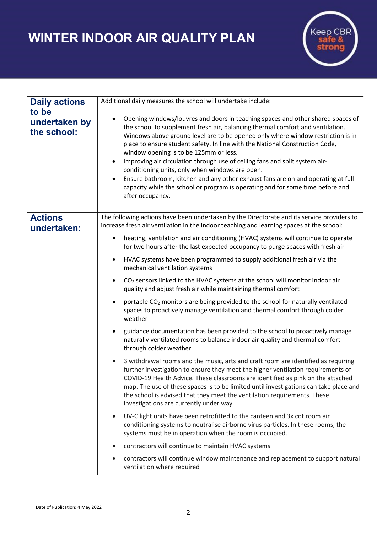## WINTER INDOOR AIR QUALITY PLAN



| <b>Daily actions</b>                  | Additional daily measures the school will undertake include:                                                                                                                                                                                                                                                                                                                                                                                                                                                                                                                                                                                                                                               |
|---------------------------------------|------------------------------------------------------------------------------------------------------------------------------------------------------------------------------------------------------------------------------------------------------------------------------------------------------------------------------------------------------------------------------------------------------------------------------------------------------------------------------------------------------------------------------------------------------------------------------------------------------------------------------------------------------------------------------------------------------------|
| to be<br>undertaken by<br>the school: | Opening windows/louvres and doors in teaching spaces and other shared spaces of<br>the school to supplement fresh air, balancing thermal comfort and ventilation.<br>Windows above ground level are to be opened only where window restriction is in<br>place to ensure student safety. In line with the National Construction Code,<br>window opening is to be 125mm or less.<br>Improving air circulation through use of ceiling fans and split system air-<br>conditioning units, only when windows are open.<br>Ensure bathroom, kitchen and any other exhaust fans are on and operating at full<br>capacity while the school or program is operating and for some time before and<br>after occupancy. |
| <b>Actions</b><br>undertaken:         | The following actions have been undertaken by the Directorate and its service providers to<br>increase fresh air ventilation in the indoor teaching and learning spaces at the school:                                                                                                                                                                                                                                                                                                                                                                                                                                                                                                                     |
|                                       | heating, ventilation and air conditioning (HVAC) systems will continue to operate<br>for two hours after the last expected occupancy to purge spaces with fresh air                                                                                                                                                                                                                                                                                                                                                                                                                                                                                                                                        |
|                                       | HVAC systems have been programmed to supply additional fresh air via the<br>$\bullet$<br>mechanical ventilation systems                                                                                                                                                                                                                                                                                                                                                                                                                                                                                                                                                                                    |
|                                       | CO <sub>2</sub> sensors linked to the HVAC systems at the school will monitor indoor air<br>$\bullet$<br>quality and adjust fresh air while maintaining thermal comfort                                                                                                                                                                                                                                                                                                                                                                                                                                                                                                                                    |
|                                       | portable CO <sub>2</sub> monitors are being provided to the school for naturally ventilated<br>spaces to proactively manage ventilation and thermal comfort through colder<br>weather                                                                                                                                                                                                                                                                                                                                                                                                                                                                                                                      |
|                                       | guidance documentation has been provided to the school to proactively manage<br>naturally ventilated rooms to balance indoor air quality and thermal comfort<br>through colder weather                                                                                                                                                                                                                                                                                                                                                                                                                                                                                                                     |
|                                       | 3 withdrawal rooms and the music, arts and craft room are identified as requiring<br>further investigation to ensure they meet the higher ventilation requirements of<br>COVID-19 Health Advice. These classrooms are identified as pink on the attached<br>map. The use of these spaces is to be limited until investigations can take place and<br>the school is advised that they meet the ventilation requirements. These<br>investigations are currently under way.                                                                                                                                                                                                                                   |
|                                       | UV-C light units have been retrofitted to the canteen and 3x cot room air<br>$\bullet$<br>conditioning systems to neutralise airborne virus particles. In these rooms, the<br>systems must be in operation when the room is occupied.                                                                                                                                                                                                                                                                                                                                                                                                                                                                      |
|                                       | contractors will continue to maintain HVAC systems<br>$\bullet$                                                                                                                                                                                                                                                                                                                                                                                                                                                                                                                                                                                                                                            |
|                                       | contractors will continue window maintenance and replacement to support natural<br>ventilation where required                                                                                                                                                                                                                                                                                                                                                                                                                                                                                                                                                                                              |